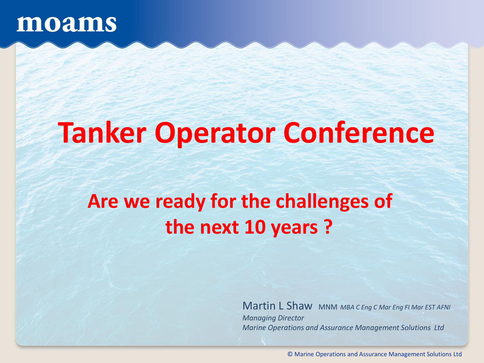## **Tanker Operator Conference**

### **Are we ready for the challenges of the next 10 years ?**

Martin L Shaw MNM *MBA C Eng C Mar Eng FI Mar EST AFNI Managing Director Marine Operations and Assurance Management Solutions Ltd*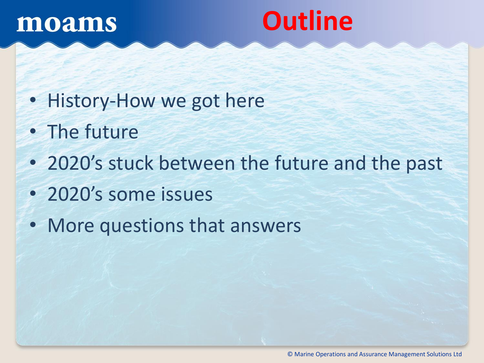## **Outline**

- History-How we got here
- The future
- 2020's stuck between the future and the past
- 2020's some issues
- More questions that answers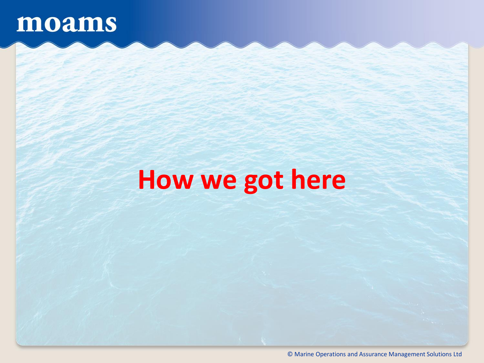## **How we got here**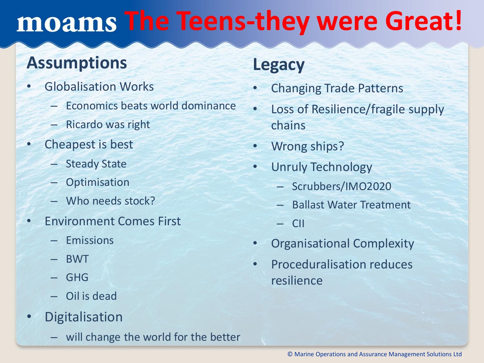## **The Teens-they were Great!**

#### **Assumptions**

- Globalisation Works
	- Economics beats world dominance
	- Ricardo was right
- Cheapest is best
	- Steady State
	- **Optimisation**
	- Who needs stock?
- Environment Comes First
	- Emissions
	- BWT
	- GHG
	- Oil is dead
- Digitalisation
	- will change the world for the better

#### **Legacy**

- Changing Trade Patterns
- Loss of Resilience/fragile supply chains
- Wrong ships?
- Unruly Technology
	- Scrubbers/IMO2020
	- Ballast Water Treatment
	- CII
- Organisational Complexity
- Proceduralisation reduces resilience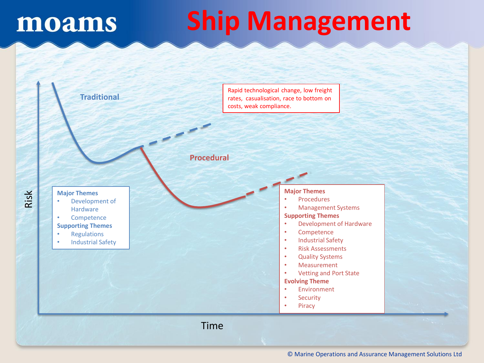# **Ship Management**

Time **Traditional Procedural** Rapid technological change, low freight rates, casualisation, race to bottom on costs, weak compliance. **Major Themes** • Development of **Hardware** • Competence **Supporting Themes** • Regulations • Industrial Safety **Major Themes** • Procedures • Management Systems **Supporting Themes** • Development of Hardware • Competence • Industrial Safety • Risk Assessments • Quality Systems • Measurement • Vetting and Port State **Evolving Theme Environment Security Piracy** 

Risk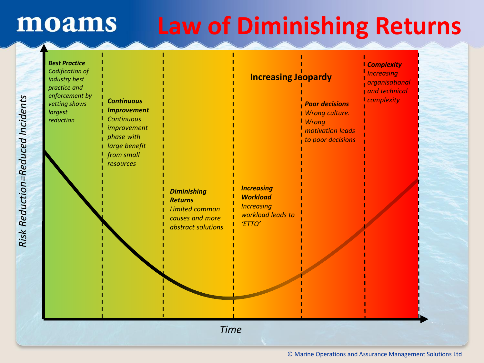### **Law of Diminishing Returns**

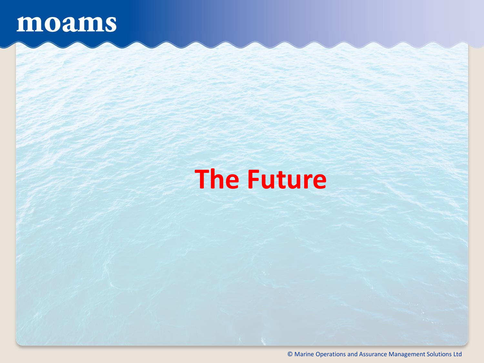### **The Future**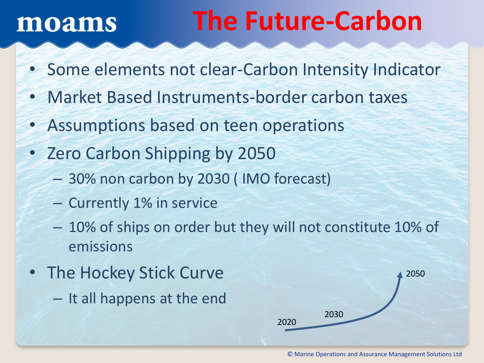## **The Future-Carbon**

- Some elements not clear-Carbon Intensity Indicator
- Market Based Instruments-border carbon taxes
- Assumptions based on teen operations
- Zero Carbon Shipping by 2050
	- 30% non carbon by 2030 ( IMO forecast)
	- Currently 1% in service
	- 10% of ships on order but they will not constitute 10% of emissions
- The Hockey Stick Curve
	- It all happens at the end

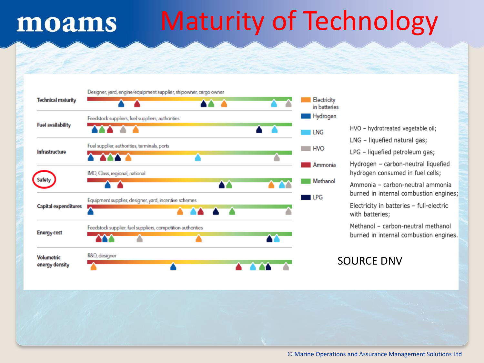# Maturity of Technology



- HVO hydrotreated vegetable oil;
- LNG liquefied natural gas;
- LPG liquefied petroleum gas;
- Hydrogen carbon-neutral liquefied hydrogen consumed in fuel cells;
- Ammonia carbon-neutral ammonia burned in internal combustion engines;
- Electricity in batteries full-electric with batteries;
- Methanol carbon-neutral methanol burned in internal combustion engines.

#### SOURCE DNV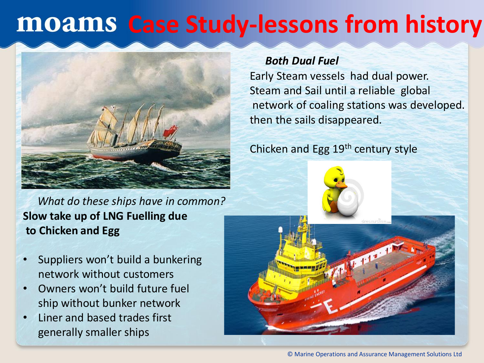### **MOAMS Case Study-lessons from history**



*What do these ships have in common?* **Slow take up of LNG Fuelling due to Chicken and Egg**

- Suppliers won't build a bunkering network without customers
- Owners won't build future fuel ship without bunker network
- Liner and based trades first generally smaller ships

#### *Both Dual Fuel*

Early Steam vessels had dual power. Steam and Sail until a reliable global network of coaling stations was developed. then the sails disappeared.

Chicken and Egg 19th century style



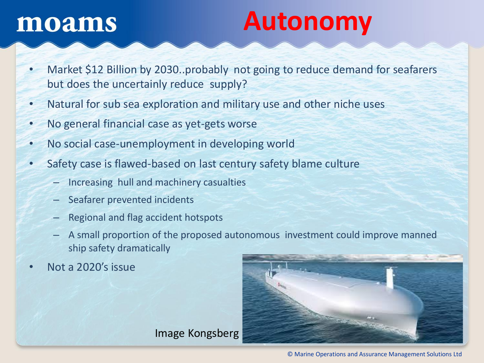## **Autonomy**

- Market \$12 Billion by 2030..probably not going to reduce demand for seafarers but does the uncertainly reduce supply?
- Natural for sub sea exploration and military use and other niche uses
- No general financial case as yet-gets worse
- No social case-unemployment in developing world
- Safety case is flawed-based on last century safety blame culture
	- Increasing hull and machinery casualties
	- Seafarer prevented incidents
	- Regional and flag accident hotspots
	- A small proportion of the proposed autonomous investment could improve manned ship safety dramatically
- Not a 2020's issue



Image Kongsberg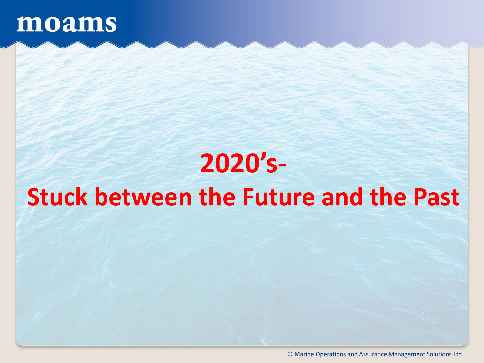## **2020's-Stuck between the Future and the Past**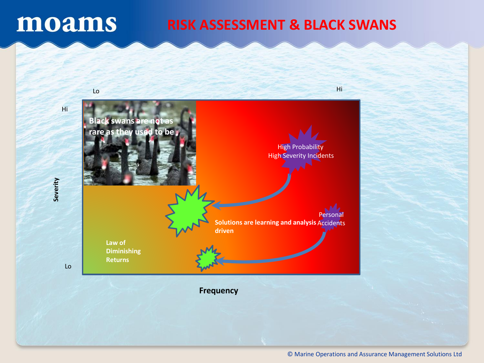#### **RISK ASSESSMENT & BLACK SWANS**



**Frequency**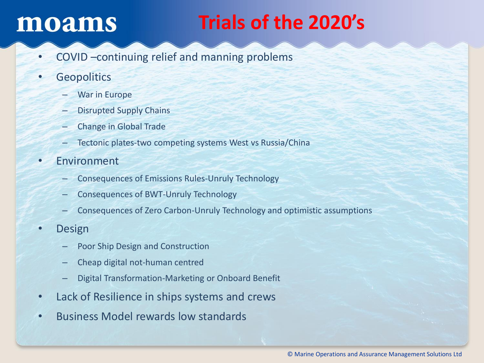### **Trials of the 2020's**

- COVID –continuing relief and manning problems
- Geopolitics
	- War in Europe
	- Disrupted Supply Chains
	- Change in Global Trade
	- Tectonic plates-two competing systems West vs Russia/China
- **Environment** 
	- Consequences of Emissions Rules-Unruly Technology
	- Consequences of BWT-Unruly Technology
	- Consequences of Zero Carbon-Unruly Technology and optimistic assumptions
- **Design** 
	- Poor Ship Design and Construction
	- Cheap digital not-human centred
	- Digital Transformation-Marketing or Onboard Benefit
- Lack of Resilience in ships systems and crews
- Business Model rewards low standards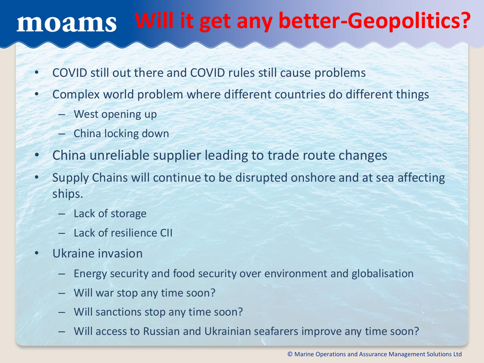### **Will it get any better-Geopolitics?**

- COVID still out there and COVID rules still cause problems
- Complex world problem where different countries do different things
	- West opening up
	- China locking down
- China unreliable supplier leading to trade route changes
- Supply Chains will continue to be disrupted onshore and at sea affecting ships.
	- Lack of storage
	- Lack of resilience CII
- Ukraine invasion
	- Energy security and food security over environment and globalisation
	- Will war stop any time soon?
	- Will sanctions stop any time soon?
	- Will access to Russian and Ukrainian seafarers improve any time soon?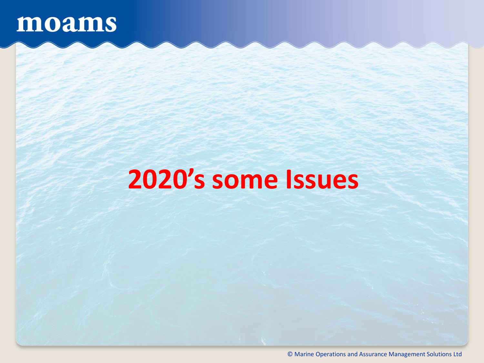## **2020's some Issues**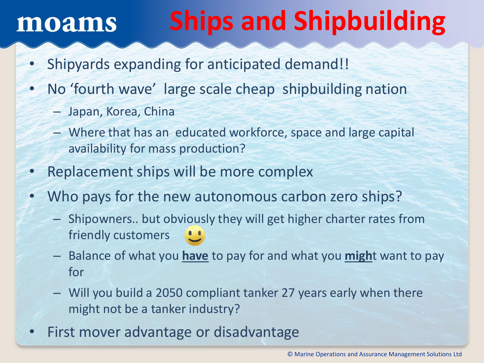# **Ships and Shipbuilding**

- Shipyards expanding for anticipated demand!!
- No 'fourth wave' large scale cheap shipbuilding nation
	- Japan, Korea, China
	- Where that has an educated workforce, space and large capital availability for mass production?
- Replacement ships will be more complex
- Who pays for the new autonomous carbon zero ships?
	- Shipowners.. but obviously they will get higher charter rates from friendly customers
	- Balance of what you **have** to pay for and what you **migh**t want to pay for
	- Will you build a 2050 compliant tanker 27 years early when there might not be a tanker industry?
- First mover advantage or disadvantage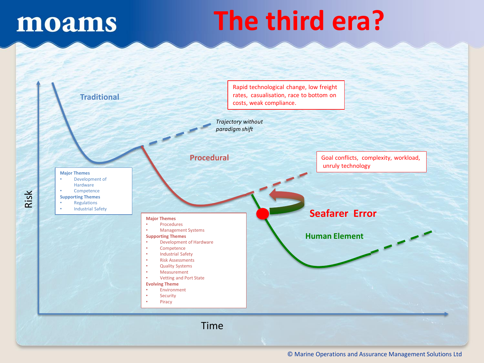Risk

# **The third era?**

| <b>Traditional</b>                                                                                                                                                                                                                                                                                                                                                                                                                                                                                                                                                                                                                                              | costs, weak compliance. | Rapid technological change, low freight<br>rates, casualisation, race to bottom on |
|-----------------------------------------------------------------------------------------------------------------------------------------------------------------------------------------------------------------------------------------------------------------------------------------------------------------------------------------------------------------------------------------------------------------------------------------------------------------------------------------------------------------------------------------------------------------------------------------------------------------------------------------------------------------|-------------------------|------------------------------------------------------------------------------------|
| Trajectory without<br>paradigm shift                                                                                                                                                                                                                                                                                                                                                                                                                                                                                                                                                                                                                            |                         |                                                                                    |
|                                                                                                                                                                                                                                                                                                                                                                                                                                                                                                                                                                                                                                                                 | <b>Procedural</b>       | Goal conflicts, complexity, workload,<br>unruly technology                         |
| <b>Major Themes</b><br>Development of<br>$\bullet$<br>Hardware<br>Competence<br>$\bullet$<br><b>Supporting Themes</b><br>Regulations<br>٠<br><b>Industrial Safety</b><br>$\bullet$<br><b>Major Themes</b><br>Procedures<br>$\bullet$<br>$\bullet$<br><b>Management Systems</b><br><b>Supporting Themes</b><br><b>Development of Hardware</b><br>٠<br>Competence<br>$\bullet$<br><b>Industrial Safety</b><br>$\bullet$<br><b>Risk Assessments</b><br>$\bullet$<br><b>Quality Systems</b><br>$\bullet$<br>Measurement<br>$\bullet$<br>Vetting and Port State<br>$\bullet$<br><b>Evolving Theme</b><br>Environment<br>$\bullet$<br>Security<br>$\bullet$<br>Piracy |                         | <b>Seafarer Error</b><br><b>Human Element</b>                                      |
| <b>Time</b>                                                                                                                                                                                                                                                                                                                                                                                                                                                                                                                                                                                                                                                     |                         |                                                                                    |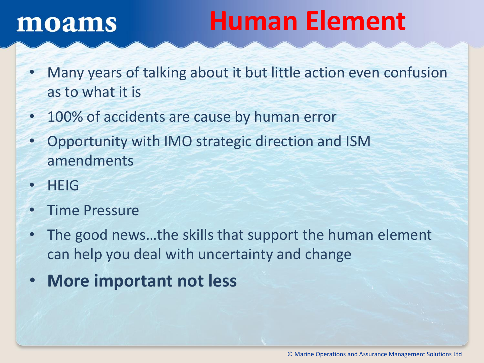## **Human Element**

- Many years of talking about it but little action even confusion as to what it is
- 100% of accidents are cause by human error
- Opportunity with IMO strategic direction and ISM amendments
- HEIG
- Time Pressure
- The good news…the skills that support the human element can help you deal with uncertainty and change
- **More important not less**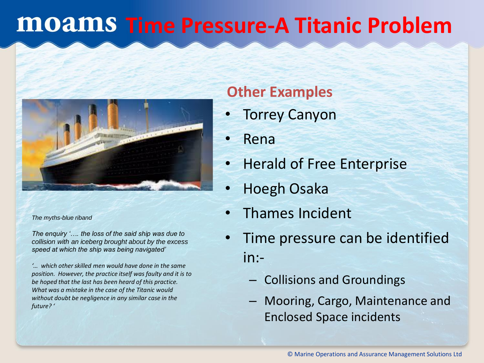### **MOAMS Time Pressure-A Titanic Problem**



*The myths-blue riband*

*The enquiry '…. the loss of the said ship was due to collision with an iceberg brought about by the excess speed at which the ship was being navigated'*

*'… which other skilled men would have done in the same position. However, the practice itself was faulty and it is to be hoped that the last has been heard of this practice. What was a mistake in the case of the Titanic would without doubt be negligence in any similar case in the future? '*

#### **Other Examples**

- **Torrey Canyon**
- Rena
- Herald of Free Enterprise
- Hoegh Osaka
- Thames Incident
- Time pressure can be identified in:-
	- Collisions and Groundings
	- Mooring, Cargo, Maintenance and Enclosed Space incidents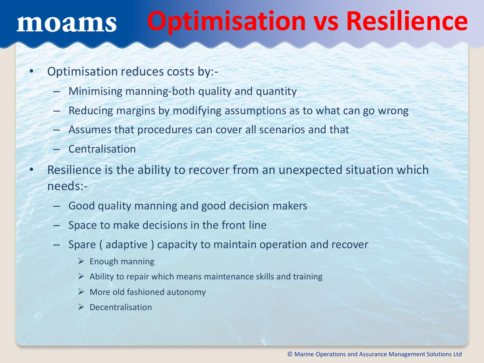#### **Optimisation vs Resilience** moams

- Optimisation reduces costs by:-
	- Minimising manning-both quality and quantity
	- Reducing margins by modifying assumptions as to what can go wrong
	- Assumes that procedures can cover all scenarios and that
	- **Centralisation**
- Resilience is the ability to recover from an unexpected situation which needs:-
	- Good quality manning and good decision makers
	- Space to make decisions in the front line
	- Spare ( adaptive ) capacity to maintain operation and recover
		- $\triangleright$  Enough manning
		- $\triangleright$  Ability to repair which means maintenance skills and training
		- $\triangleright$  More old fashioned autonomy
		- ➢ Decentralisation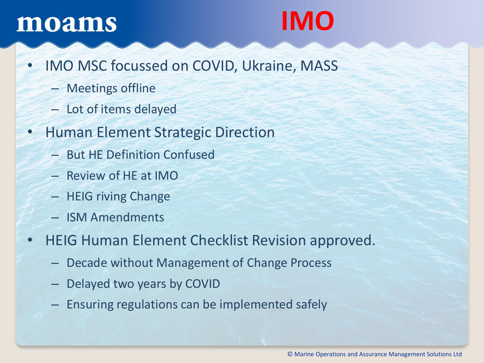## **IMO**

- IMO MSC focussed on COVID, Ukraine, MASS
	- Meetings offline
	- Lot of items delayed
- Human Element Strategic Direction
	- But HE Definition Confused
	- Review of HE at IMO
	- HEIG riving Change
	- ISM Amendments
- HEIG Human Element Checklist Revision approved.
	- Decade without Management of Change Process
	- Delayed two years by COVID
	- Ensuring regulations can be implemented safely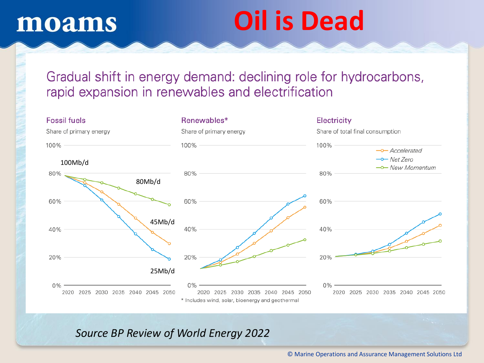# **Oil is Dead**

#### Gradual shift in energy demand: declining role for hydrocarbons, rapid expansion in renewables and electrification



#### *Source BP Review of World Energy 2022*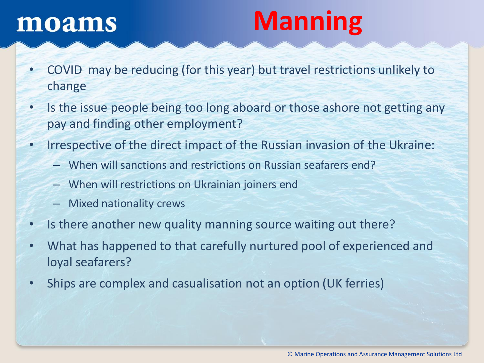# **Manning**

- COVID may be reducing (for this year) but travel restrictions unlikely to change
- Is the issue people being too long aboard or those ashore not getting any pay and finding other employment?
- Irrespective of the direct impact of the Russian invasion of the Ukraine:
	- When will sanctions and restrictions on Russian seafarers end?
	- When will restrictions on Ukrainian joiners end
	- Mixed nationality crews
- Is there another new quality manning source waiting out there?
- What has happened to that carefully nurtured pool of experienced and loyal seafarers?
- Ships are complex and casualisation not an option (UK ferries)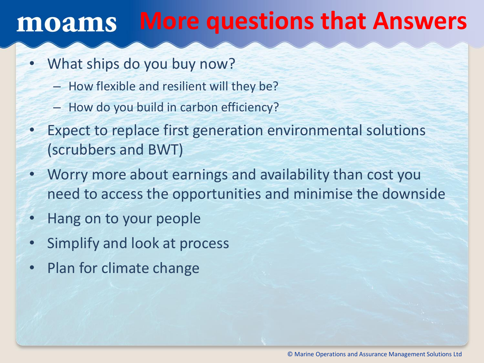#### **More questions that Answers** moams

- What ships do you buy now?
	- How flexible and resilient will they be?
	- How do you build in carbon efficiency?
- Expect to replace first generation environmental solutions (scrubbers and BWT)
- Worry more about earnings and availability than cost you need to access the opportunities and minimise the downside
- Hang on to your people
- Simplify and look at process
- Plan for climate change